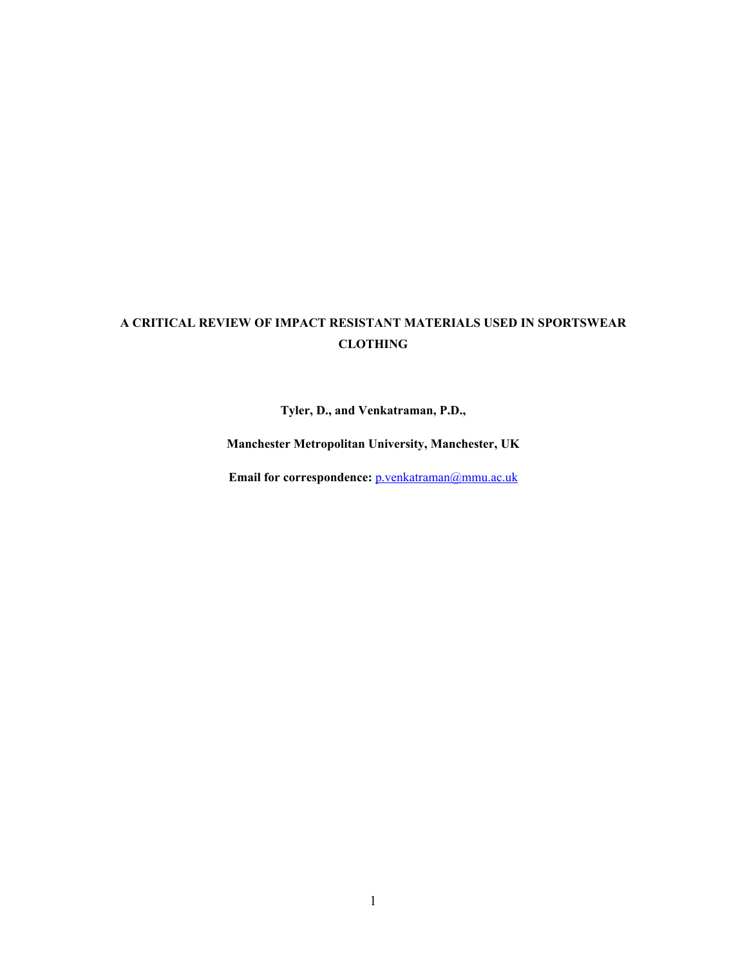# **A CRITICAL REVIEW OF IMPACT RESISTANT MATERIALS USED IN SPORTSWEAR CLOTHING**

**Tyler, D., and Venkatraman, P.D.,** 

**Manchester Metropolitan University, Manchester, UK** 

Email for correspondence: **p**.venkatraman@mmu.ac.uk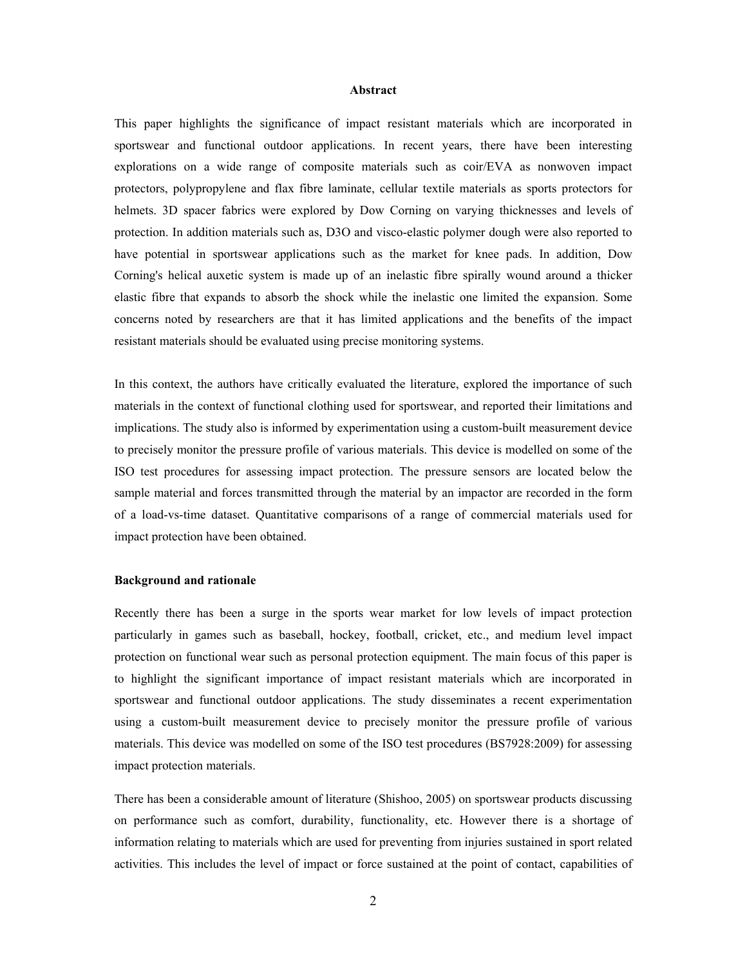#### **Abstract**

This paper highlights the significance of impact resistant materials which are incorporated in sportswear and functional outdoor applications. In recent years, there have been interesting explorations on a wide range of composite materials such as coir/EVA as nonwoven impact protectors, polypropylene and flax fibre laminate, cellular textile materials as sports protectors for helmets. 3D spacer fabrics were explored by Dow Corning on varying thicknesses and levels of protection. In addition materials such as, D3O and visco-elastic polymer dough were also reported to have potential in sportswear applications such as the market for knee pads. In addition, Dow Corning's helical auxetic system is made up of an inelastic fibre spirally wound around a thicker elastic fibre that expands to absorb the shock while the inelastic one limited the expansion. Some concerns noted by researchers are that it has limited applications and the benefits of the impact resistant materials should be evaluated using precise monitoring systems.

In this context, the authors have critically evaluated the literature, explored the importance of such materials in the context of functional clothing used for sportswear, and reported their limitations and implications. The study also is informed by experimentation using a custom-built measurement device to precisely monitor the pressure profile of various materials. This device is modelled on some of the ISO test procedures for assessing impact protection. The pressure sensors are located below the sample material and forces transmitted through the material by an impactor are recorded in the form of a load-vs-time dataset. Quantitative comparisons of a range of commercial materials used for impact protection have been obtained.

#### **Background and rationale**

Recently there has been a surge in the sports wear market for low levels of impact protection particularly in games such as baseball, hockey, football, cricket, etc., and medium level impact protection on functional wear such as personal protection equipment. The main focus of this paper is to highlight the significant importance of impact resistant materials which are incorporated in sportswear and functional outdoor applications. The study disseminates a recent experimentation using a custom-built measurement device to precisely monitor the pressure profile of various materials. This device was modelled on some of the ISO test procedures (BS7928:2009) for assessing impact protection materials.

There has been a considerable amount of literature (Shishoo, 2005) on sportswear products discussing on performance such as comfort, durability, functionality, etc. However there is a shortage of information relating to materials which are used for preventing from injuries sustained in sport related activities. This includes the level of impact or force sustained at the point of contact, capabilities of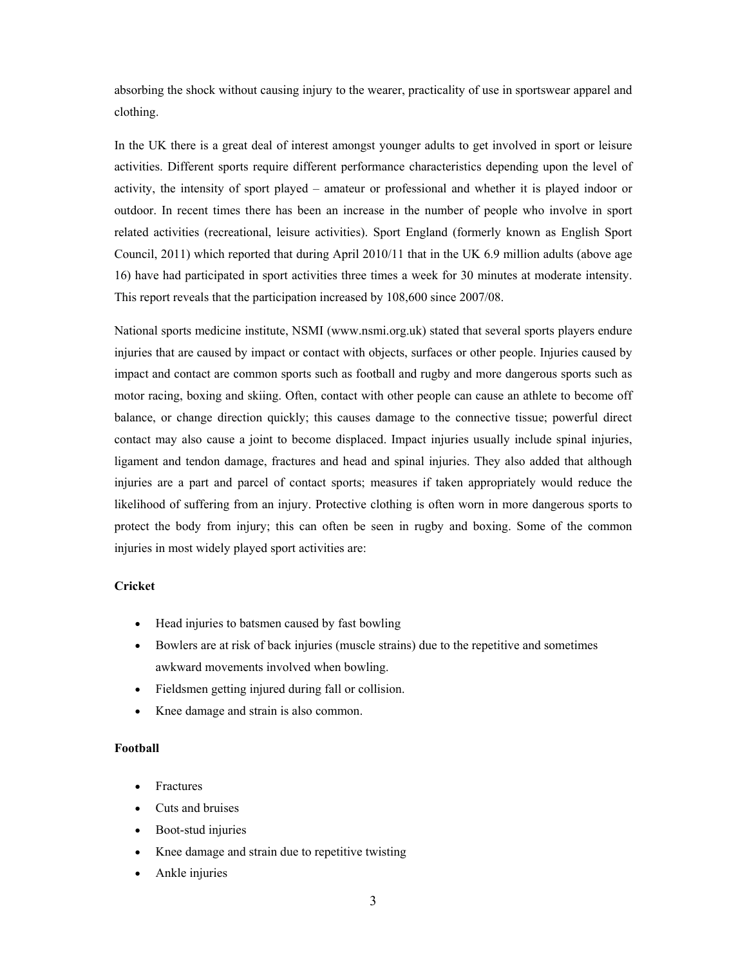absorbing the shock without causing injury to the wearer, practicality of use in sportswear apparel and clothing.

In the UK there is a great deal of interest amongst younger adults to get involved in sport or leisure activities. Different sports require different performance characteristics depending upon the level of activity, the intensity of sport played – amateur or professional and whether it is played indoor or outdoor. In recent times there has been an increase in the number of people who involve in sport related activities (recreational, leisure activities). Sport England (formerly known as English Sport Council, 2011) which reported that during April 2010/11 that in the UK 6.9 million adults (above age 16) have had participated in sport activities three times a week for 30 minutes at moderate intensity. This report reveals that the participation increased by 108,600 since 2007/08.

National sports medicine institute, NSMI (www.nsmi.org.uk) stated that several sports players endure injuries that are caused by impact or contact with objects, surfaces or other people. Injuries caused by impact and contact are common sports such as football and rugby and more dangerous sports such as motor racing, boxing and skiing. Often, contact with other people can cause an athlete to become off balance, or change direction quickly; this causes damage to the connective tissue; powerful direct contact may also cause a joint to become displaced. Impact injuries usually include spinal injuries, ligament and tendon damage, fractures and head and spinal injuries. They also added that although injuries are a part and parcel of contact sports; measures if taken appropriately would reduce the likelihood of suffering from an injury. Protective clothing is often worn in more dangerous sports to protect the body from injury; this can often be seen in rugby and boxing. Some of the common injuries in most widely played sport activities are:

## **Cricket**

- Head injuries to batsmen caused by fast bowling
- Bowlers are at risk of back injuries (muscle strains) due to the repetitive and sometimes awkward movements involved when bowling.
- Fieldsmen getting injured during fall or collision.
- Knee damage and strain is also common.

#### **Football**

- **Fractures**
- Cuts and bruises
- Boot-stud injuries
- Knee damage and strain due to repetitive twisting
- Ankle injuries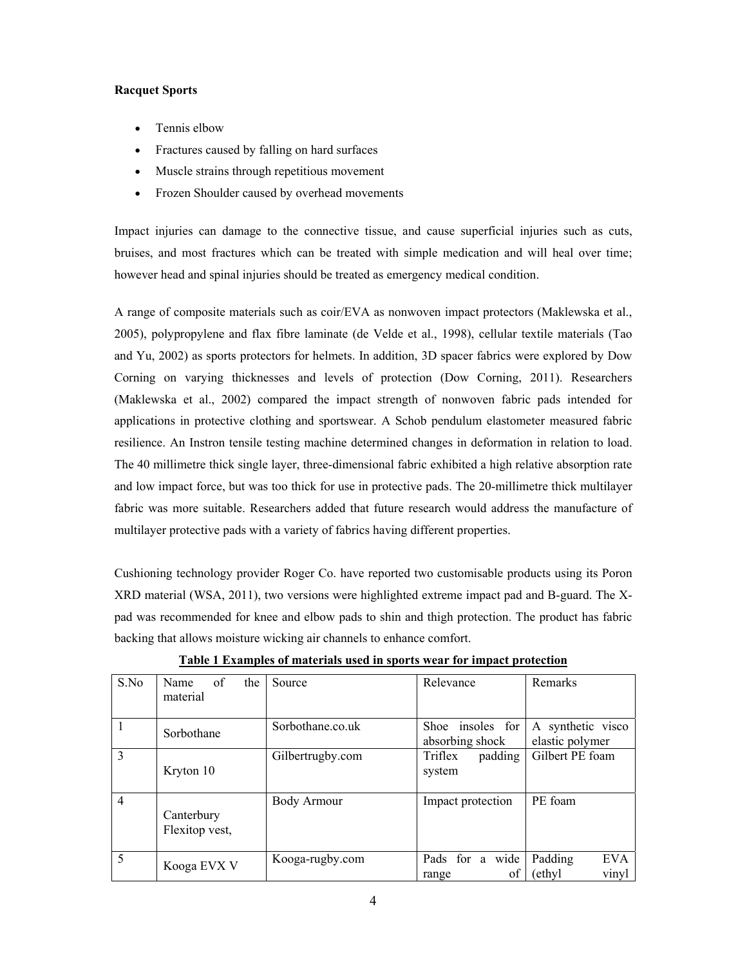# **Racquet Sports**

- Tennis elbow
- Fractures caused by falling on hard surfaces
- Muscle strains through repetitious movement
- Frozen Shoulder caused by overhead movements

Impact injuries can damage to the connective tissue, and cause superficial injuries such as cuts, bruises, and most fractures which can be treated with simple medication and will heal over time; however head and spinal injuries should be treated as emergency medical condition.

A range of composite materials such as coir/EVA as nonwoven impact protectors (Maklewska et al., 2005), polypropylene and flax fibre laminate (de Velde et al., 1998), cellular textile materials (Tao and Yu, 2002) as sports protectors for helmets. In addition, 3D spacer fabrics were explored by Dow Corning on varying thicknesses and levels of protection (Dow Corning, 2011). Researchers (Maklewska et al., 2002) compared the impact strength of nonwoven fabric pads intended for applications in protective clothing and sportswear. A Schob pendulum elastometer measured fabric resilience. An Instron tensile testing machine determined changes in deformation in relation to load. The 40 millimetre thick single layer, three-dimensional fabric exhibited a high relative absorption rate and low impact force, but was too thick for use in protective pads. The 20-millimetre thick multilayer fabric was more suitable. Researchers added that future research would address the manufacture of multilayer protective pads with a variety of fabrics having different properties.

Cushioning technology provider Roger Co. have reported two customisable products using its Poron XRD material (WSA, 2011), two versions were highlighted extreme impact pad and B-guard. The Xpad was recommended for knee and elbow pads to shin and thigh protection. The product has fabric backing that allows moisture wicking air channels to enhance comfort.

| S.No           | of<br>Name<br>the<br>material | Source             | Relevance                           | Remarks                                  |
|----------------|-------------------------------|--------------------|-------------------------------------|------------------------------------------|
|                | Sorbothane                    | Sorbothane.co.uk   | Shoe insoles for<br>absorbing shock | A synthetic visco<br>elastic polymer     |
| $\mathcal{E}$  | Kryton 10                     | Gilbertrugby.com   | Triflex<br>padding<br>system        | Gilbert PE foam                          |
| $\overline{4}$ | Canterbury<br>Flexitop vest,  | <b>Body Armour</b> | Impact protection                   | PE foam                                  |
| 5              | Kooga EVX V                   | Kooga-rugby.com    | Pads for a wide<br>οf<br>range      | <b>EVA</b><br>Padding<br>ethyl)<br>vinyl |

**Table 1 Examples of materials used in sports wear for impact protection**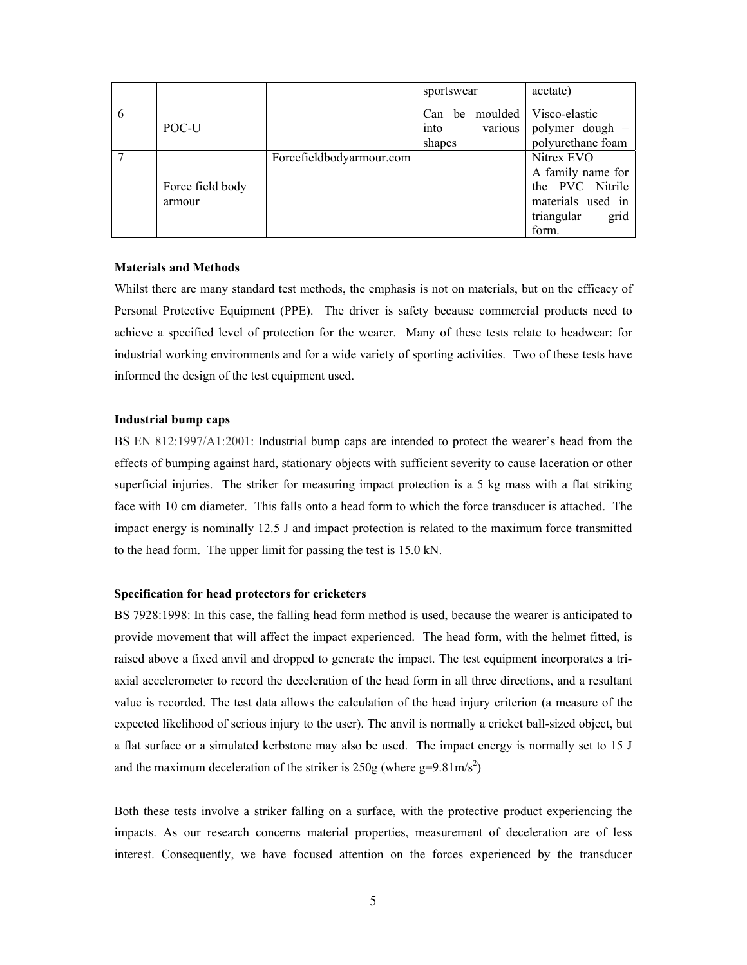|   |                  |                          | sportswear |            | acetate)           |
|---|------------------|--------------------------|------------|------------|--------------------|
| 6 |                  |                          | Can        | be moulded | Visco-elastic      |
|   | POC-U            |                          | into       | various    | polymer dough -    |
|   |                  |                          | shapes     |            | polyurethane foam  |
|   |                  | Forcefieldbodyarmour.com |            |            | Nitrex EVO         |
|   |                  |                          |            |            | A family name for  |
|   | Force field body |                          |            |            | the PVC Nitrile    |
|   | armour           |                          |            |            | materials used in  |
|   |                  |                          |            |            | triangular<br>grid |
|   |                  |                          |            |            | form.              |

### **Materials and Methods**

Whilst there are many standard test methods, the emphasis is not on materials, but on the efficacy of Personal Protective Equipment (PPE). The driver is safety because commercial products need to achieve a specified level of protection for the wearer. Many of these tests relate to headwear: for industrial working environments and for a wide variety of sporting activities. Two of these tests have informed the design of the test equipment used.

#### **Industrial bump caps**

BS EN 812:1997/A1:2001: Industrial bump caps are intended to protect the wearer's head from the effects of bumping against hard, stationary objects with sufficient severity to cause laceration or other superficial injuries. The striker for measuring impact protection is a 5 kg mass with a flat striking face with 10 cm diameter. This falls onto a head form to which the force transducer is attached. The impact energy is nominally 12.5 J and impact protection is related to the maximum force transmitted to the head form. The upper limit for passing the test is 15.0 kN.

#### **Specification for head protectors for cricketers**

BS 7928:1998: In this case, the falling head form method is used, because the wearer is anticipated to provide movement that will affect the impact experienced. The head form, with the helmet fitted, is raised above a fixed anvil and dropped to generate the impact. The test equipment incorporates a triaxial accelerometer to record the deceleration of the head form in all three directions, and a resultant value is recorded. The test data allows the calculation of the head injury criterion (a measure of the expected likelihood of serious injury to the user). The anvil is normally a cricket ball-sized object, but a flat surface or a simulated kerbstone may also be used. The impact energy is normally set to 15 J and the maximum deceleration of the striker is  $250g$  (where g=9.81m/s<sup>2</sup>)

Both these tests involve a striker falling on a surface, with the protective product experiencing the impacts. As our research concerns material properties, measurement of deceleration are of less interest. Consequently, we have focused attention on the forces experienced by the transducer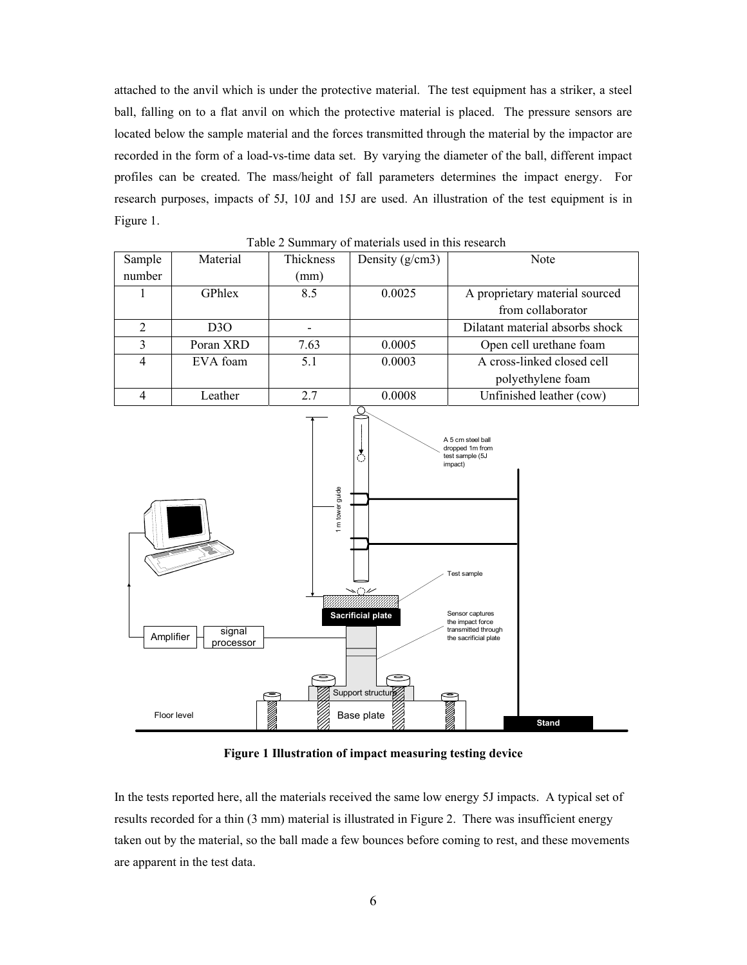attached to the anvil which is under the protective material. The test equipment has a striker, a steel ball, falling on to a flat anvil on which the protective material is placed. The pressure sensors are located below the sample material and the forces transmitted through the material by the impactor are recorded in the form of a load-vs-time data set. By varying the diameter of the ball, different impact profiles can be created. The mass/height of fall parameters determines the impact energy. For research purposes, impacts of 5J, 10J and 15J are used. An illustration of the test equipment is in Figure 1.

| Table 2 Builting y of materials ased in this research |                  |           |                   |                                 |  |  |  |  |
|-------------------------------------------------------|------------------|-----------|-------------------|---------------------------------|--|--|--|--|
| Sample                                                | Material         | Thickness | Density $(g/cm3)$ | Note                            |  |  |  |  |
| number                                                |                  | (mm)      |                   |                                 |  |  |  |  |
|                                                       | GPhlex           | 8.5       | 0.0025            | A proprietary material sourced  |  |  |  |  |
|                                                       |                  |           |                   | from collaborator               |  |  |  |  |
| 2                                                     | D <sub>3</sub> O |           |                   | Dilatant material absorbs shock |  |  |  |  |
| 3                                                     | Poran XRD        | 7.63      | 0.0005            | Open cell urethane foam         |  |  |  |  |
| 4                                                     | EVA foam         | 5.1       | 0.0003            | A cross-linked closed cell      |  |  |  |  |
|                                                       |                  |           |                   | polyethylene foam               |  |  |  |  |
|                                                       | Leather          | 2.7       | 0.0008            | Unfinished leather (cow)        |  |  |  |  |

Table 2 Summary of materials used in this research



**Figure 1 Illustration of impact measuring testing device** 

In the tests reported here, all the materials received the same low energy 5J impacts. A typical set of results recorded for a thin (3 mm) material is illustrated in Figure 2. There was insufficient energy taken out by the material, so the ball made a few bounces before coming to rest, and these movements are apparent in the test data.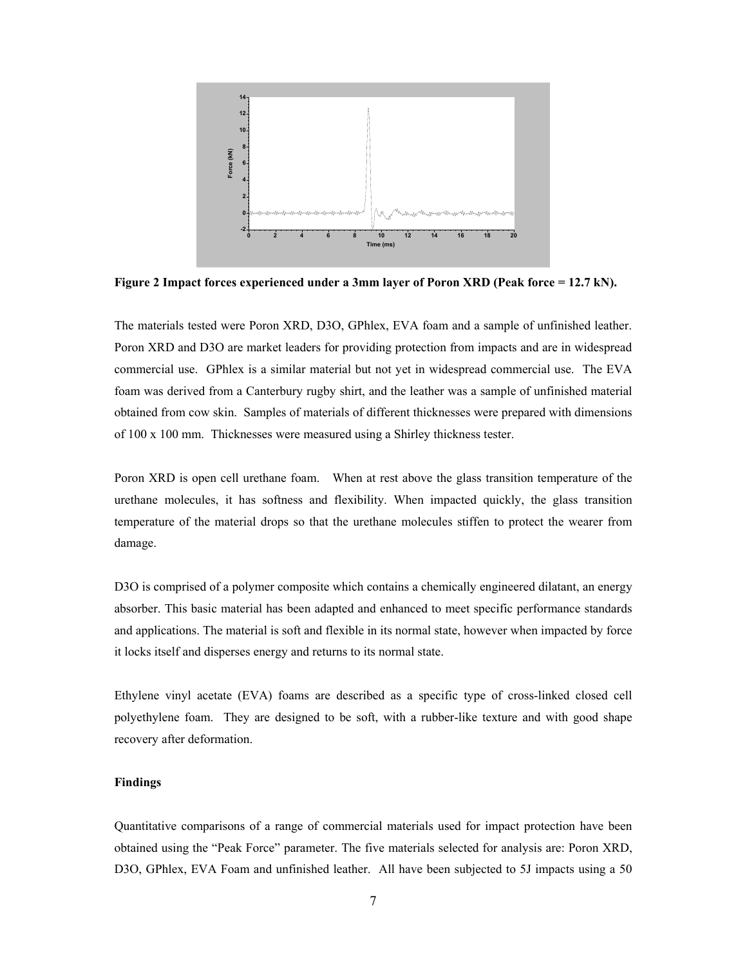

**Figure 2 Impact forces experienced under a 3mm layer of Poron XRD (Peak force = 12.7 kN).** 

The materials tested were Poron XRD, D3O, GPhlex, EVA foam and a sample of unfinished leather. Poron XRD and D3O are market leaders for providing protection from impacts and are in widespread commercial use. GPhlex is a similar material but not yet in widespread commercial use. The EVA foam was derived from a Canterbury rugby shirt, and the leather was a sample of unfinished material obtained from cow skin. Samples of materials of different thicknesses were prepared with dimensions of 100 x 100 mm. Thicknesses were measured using a Shirley thickness tester.

Poron XRD is open cell urethane foam. When at rest above the glass transition temperature of the urethane molecules, it has softness and flexibility. When impacted quickly, the glass transition temperature of the material drops so that the urethane molecules stiffen to protect the wearer from damage.

D3O is comprised of a polymer composite which contains a chemically engineered dilatant, an energy absorber. This basic material has been adapted and enhanced to meet specific performance standards and applications. The material is soft and flexible in its normal state, however when impacted by force it locks itself and disperses energy and returns to its normal state.

Ethylene vinyl acetate (EVA) foams are described as a specific type of cross-linked closed cell polyethylene foam. They are designed to be soft, with a rubber-like texture and with good shape recovery after deformation.

## **Findings**

Quantitative comparisons of a range of commercial materials used for impact protection have been obtained using the "Peak Force" parameter. The five materials selected for analysis are: Poron XRD, D3O, GPhlex, EVA Foam and unfinished leather. All have been subjected to 5J impacts using a 50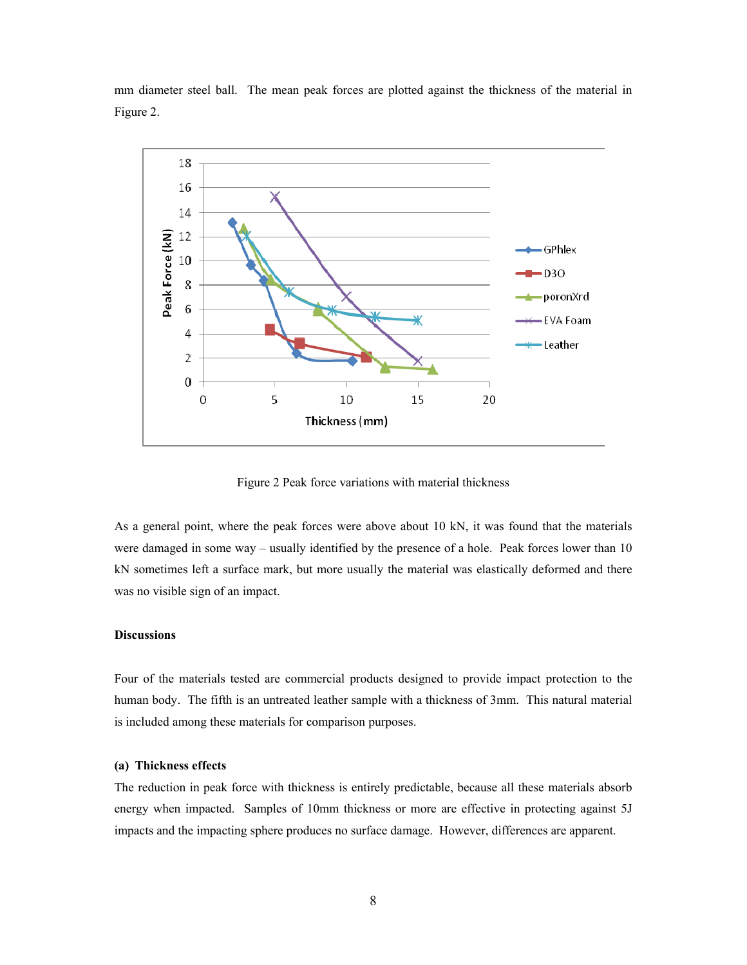mm diameter steel ball. The mean peak forces are plotted against the thickness of the material in Figure 2.



Figure 2 Peak force variations with material thickness

As a general point, where the peak forces were above about 10 kN, it was found that the materials were damaged in some way – usually identified by the presence of a hole. Peak forces lower than 10 kN sometimes left a surface mark, but more usually the material was elastically deformed and there was no visible sign of an impact.

## **Discussions**

Four of the materials tested are commercial products designed to provide impact protection to the human body. The fifth is an untreated leather sample with a thickness of 3mm. This natural material is included among these materials for comparison purposes.

## **(a) Thickness effects**

The reduction in peak force with thickness is entirely predictable, because all these materials absorb energy when impacted. Samples of 10mm thickness or more are effective in protecting against 5J impacts and the impacting sphere produces no surface damage. However, differences are apparent.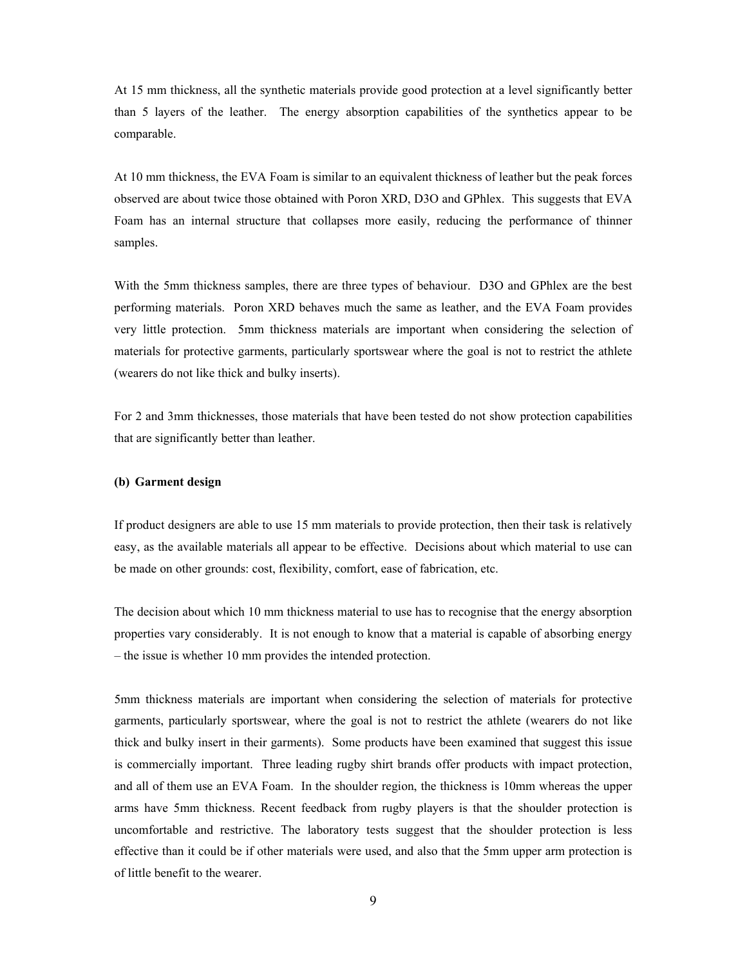At 15 mm thickness, all the synthetic materials provide good protection at a level significantly better than 5 layers of the leather. The energy absorption capabilities of the synthetics appear to be comparable.

At 10 mm thickness, the EVA Foam is similar to an equivalent thickness of leather but the peak forces observed are about twice those obtained with Poron XRD, D3O and GPhlex. This suggests that EVA Foam has an internal structure that collapses more easily, reducing the performance of thinner samples.

With the 5mm thickness samples, there are three types of behaviour. D3O and GPhlex are the best performing materials. Poron XRD behaves much the same as leather, and the EVA Foam provides very little protection. 5mm thickness materials are important when considering the selection of materials for protective garments, particularly sportswear where the goal is not to restrict the athlete (wearers do not like thick and bulky inserts).

For 2 and 3mm thicknesses, those materials that have been tested do not show protection capabilities that are significantly better than leather.

#### **(b) Garment design**

If product designers are able to use 15 mm materials to provide protection, then their task is relatively easy, as the available materials all appear to be effective. Decisions about which material to use can be made on other grounds: cost, flexibility, comfort, ease of fabrication, etc.

The decision about which 10 mm thickness material to use has to recognise that the energy absorption properties vary considerably. It is not enough to know that a material is capable of absorbing energy – the issue is whether 10 mm provides the intended protection.

5mm thickness materials are important when considering the selection of materials for protective garments, particularly sportswear, where the goal is not to restrict the athlete (wearers do not like thick and bulky insert in their garments). Some products have been examined that suggest this issue is commercially important. Three leading rugby shirt brands offer products with impact protection, and all of them use an EVA Foam. In the shoulder region, the thickness is 10mm whereas the upper arms have 5mm thickness. Recent feedback from rugby players is that the shoulder protection is uncomfortable and restrictive. The laboratory tests suggest that the shoulder protection is less effective than it could be if other materials were used, and also that the 5mm upper arm protection is of little benefit to the wearer.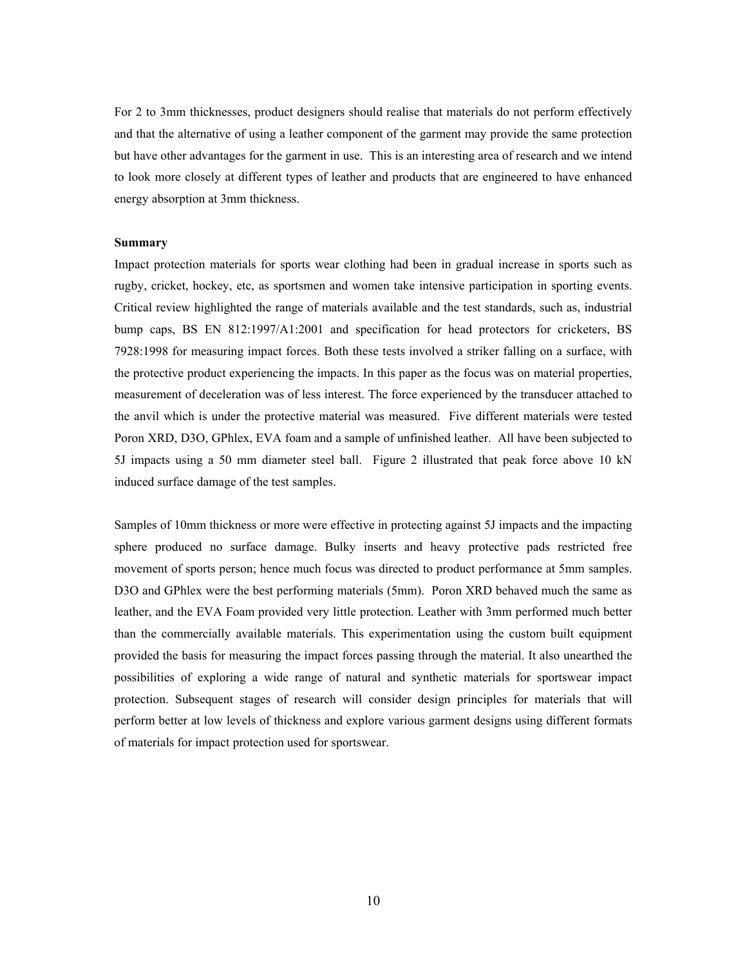For 2 to 3mm thicknesses, product designers should realise that materials do not perform effectively and that the alternative of using a leather component of the garment may provide the same protection but have other advantages for the garment in use. This is an interesting area of research and we intend to look more closely at different types of leather and products that are engineered to have enhanced energy absorption at 3mm thickness.

#### **Summary**

Impact protection materials for sports wear clothing had been in gradual increase in sports such as rugby, cricket, hockey, etc, as sportsmen and women take intensive participation in sporting events. Critical review highlighted the range of materials available and the test standards, such as, industrial bump caps, BS EN 812:1997/A1:2001 and specification for head protectors for cricketers, BS 7928:1998 for measuring impact forces. Both these tests involved a striker falling on a surface, with the protective product experiencing the impacts. In this paper as the focus was on material properties, measurement of deceleration was of less interest. The force experienced by the transducer attached to the anvil which is under the protective material was measured. Five different materials were tested Poron XRD, D3O, GPhlex, EVA foam and a sample of unfinished leather. All have been subjected to 5J impacts using a 50 mm diameter steel ball. Figure 2 illustrated that peak force above 10 kN induced surface damage of the test samples.

Samples of 10mm thickness or more were effective in protecting against 5J impacts and the impacting sphere produced no surface damage. Bulky inserts and heavy protective pads restricted free movement of sports person; hence much focus was directed to product performance at 5mm samples. D3O and GPhlex were the best performing materials (5mm). Poron XRD behaved much the same as leather, and the EVA Foam provided very little protection. Leather with 3mm performed much better than the commercially available materials. This experimentation using the custom built equipment provided the basis for measuring the impact forces passing through the material. It also unearthed the possibilities of exploring a wide range of natural and synthetic materials for sportswear impact protection. Subsequent stages of research will consider design principles for materials that will perform better at low levels of thickness and explore various garment designs using different formats of materials for impact protection used for sportswear.